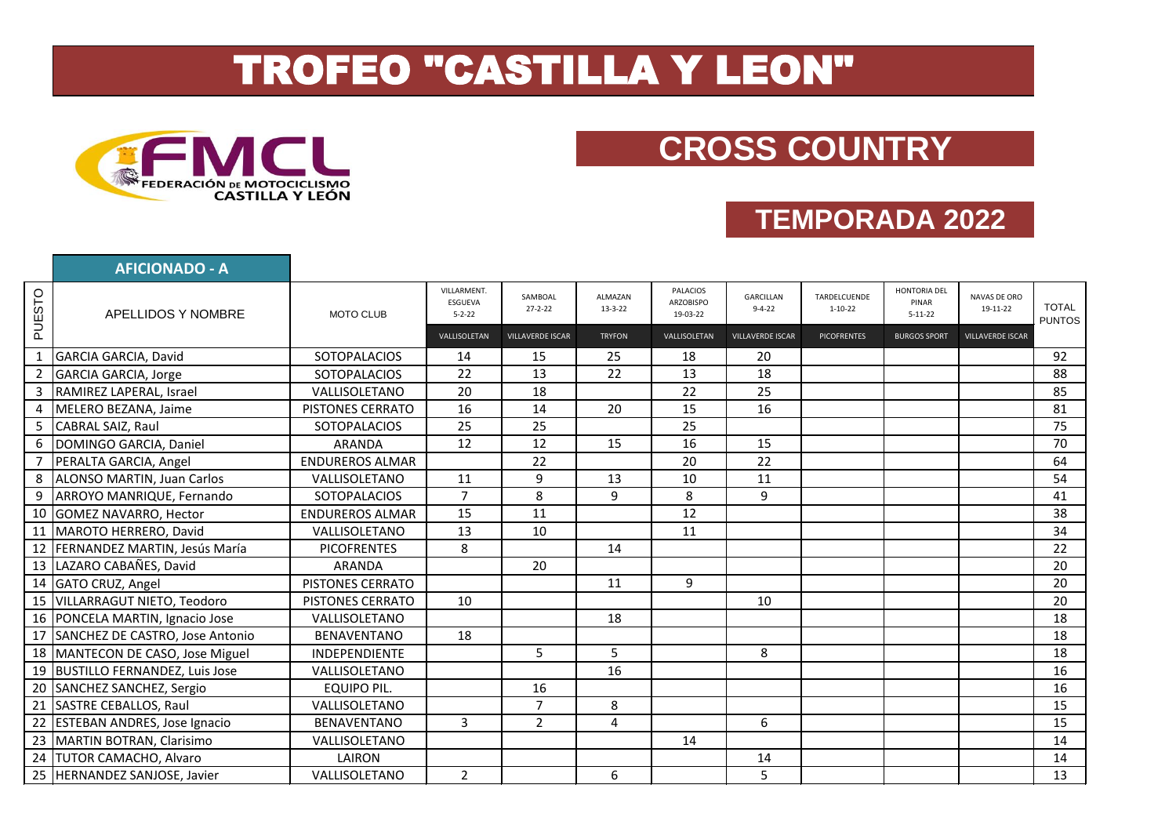## TROFEO "CASTILLA Y LEON"



## **CROSS COUNTRY**

## **TEMPORADA 2022**

|        | <b>AFICIONADO - A</b>              |                         |                                        |                          |                          |                                                 |                           |                               |                                        |                          |                               |
|--------|------------------------------------|-------------------------|----------------------------------------|--------------------------|--------------------------|-------------------------------------------------|---------------------------|-------------------------------|----------------------------------------|--------------------------|-------------------------------|
| PUESTO | APELLIDOS Y NOMBRE                 | MOTO CLUB               | VILLARMENT.<br>ESGUEVA<br>$5 - 2 - 22$ | SAMBOAL<br>$27 - 2 - 22$ | ALMAZAN<br>$13 - 3 - 22$ | <b>PALACIOS</b><br><b>ARZOBISPO</b><br>19-03-22 | GARCILLAN<br>$9 - 4 - 22$ | TARDELCUENDE<br>$1 - 10 - 22$ | HONTORIA DEL<br>PINAR<br>$5 - 11 - 22$ | NAVAS DE ORO<br>19-11-22 | <b>TOTAL</b><br><b>PUNTOS</b> |
|        |                                    |                         | VALLISOLETAN                           | <b>VILLAVERDE ISCAR</b>  | <b>TRYFON</b>            | VALLISOLETAN                                    | <b>VILLAVERDE ISCAR</b>   | <b>PICOFRENTES</b>            | <b>BURGOS SPORT</b>                    | <b>VILLAVERDE ISCAR</b>  |                               |
|        | GARCIA GARCIA, David               | <b>SOTOPALACIOS</b>     | 14                                     | 15                       | 25                       | 18                                              | 20                        |                               |                                        |                          | 92                            |
| 2      | GARCIA GARCIA, Jorge               | <b>SOTOPALACIOS</b>     | 22                                     | 13                       | 22                       | 13                                              | 18                        |                               |                                        |                          | 88                            |
| 3      | RAMIREZ LAPERAL, Israel            | VALLISOLETANO           | 20                                     | 18                       |                          | 22                                              | 25                        |                               |                                        |                          | 85                            |
| 4      | MELERO BEZANA, Jaime               | PISTONES CERRATO        | 16                                     | 14                       | 20                       | 15                                              | 16                        |                               |                                        |                          | 81                            |
|        | 5 CABRAL SAIZ, Raul                | <b>SOTOPALACIOS</b>     | 25                                     | 25                       |                          | 25                                              |                           |                               |                                        |                          | 75                            |
|        | 6  DOMINGO GARCIA, Daniel          | <b>ARANDA</b>           | 12                                     | 12                       | 15                       | 16                                              | 15                        |                               |                                        |                          | 70                            |
|        | PERALTA GARCIA, Angel              | <b>ENDUREROS ALMAR</b>  |                                        | 22                       |                          | 20                                              | 22                        |                               |                                        |                          | 64                            |
|        | 8 ALONSO MARTIN, Juan Carlos       | VALLISOLETANO           | 11                                     | 9                        | 13                       | 10                                              | 11                        |                               |                                        |                          | 54                            |
| 9      | ARROYO MANRIQUE, Fernando          | <b>SOTOPALACIOS</b>     | $\overline{7}$                         | 8                        | 9                        | 8                                               | 9                         |                               |                                        |                          | 41                            |
|        | 10 GOMEZ NAVARRO, Hector           | <b>ENDUREROS ALMAR</b>  | 15                                     | 11                       |                          | 12                                              |                           |                               |                                        |                          | 38                            |
|        | 11 MAROTO HERRERO, David           | VALLISOLETANO           | 13                                     | 10                       |                          | 11                                              |                           |                               |                                        |                          | 34                            |
|        | 12 FERNANDEZ MARTIN, Jesús María   | <b>PICOFRENTES</b>      | 8                                      |                          | 14                       |                                                 |                           |                               |                                        |                          | 22                            |
|        | 13 LAZARO CABAÑES, David           | <b>ARANDA</b>           |                                        | 20                       |                          |                                                 |                           |                               |                                        |                          | 20                            |
|        | 14 GATO CRUZ, Angel                | PISTONES CERRATO        |                                        |                          | 11                       | 9                                               |                           |                               |                                        |                          | 20                            |
|        | 15 VILLARRAGUT NIETO, Teodoro      | <b>PISTONES CERRATO</b> | 10                                     |                          |                          |                                                 | 10                        |                               |                                        |                          | 20                            |
|        | 16 PONCELA MARTIN, Ignacio Jose    | VALLISOLETANO           |                                        |                          | 18                       |                                                 |                           |                               |                                        |                          | 18                            |
|        | 17 SANCHEZ DE CASTRO, Jose Antonio | <b>BENAVENTANO</b>      | 18                                     |                          |                          |                                                 |                           |                               |                                        |                          | 18                            |
|        | 18 MANTECON DE CASO, Jose Miguel   | <b>INDEPENDIENTE</b>    |                                        | 5                        | 5                        |                                                 | 8                         |                               |                                        |                          | 18                            |
|        | 19 BUSTILLO FERNANDEZ, Luis Jose   | VALLISOLETANO           |                                        |                          | 16                       |                                                 |                           |                               |                                        |                          | 16                            |
|        | 20 SANCHEZ SANCHEZ, Sergio         | <b>EQUIPO PIL.</b>      |                                        | 16                       |                          |                                                 |                           |                               |                                        |                          | 16                            |
|        | 21 SASTRE CEBALLOS, Raul           | VALLISOLETANO           |                                        | $\overline{7}$           | 8                        |                                                 |                           |                               |                                        |                          | 15                            |
|        | 22 ESTEBAN ANDRES, Jose Ignacio    | <b>BENAVENTANO</b>      | $\overline{3}$                         | $\overline{2}$           | 4                        |                                                 | 6                         |                               |                                        |                          | 15                            |
|        | 23 MARTIN BOTRAN, Clarisimo        | VALLISOLETANO           |                                        |                          |                          | 14                                              |                           |                               |                                        |                          | 14                            |
|        | 24 TUTOR CAMACHO, Alvaro           | LAIRON                  |                                        |                          |                          |                                                 | 14                        |                               |                                        |                          | 14                            |
|        | 25 HERNANDEZ SANJOSE, Javier       | VALLISOLETANO           | $\overline{2}$                         |                          | 6                        |                                                 | 5                         |                               |                                        |                          | 13                            |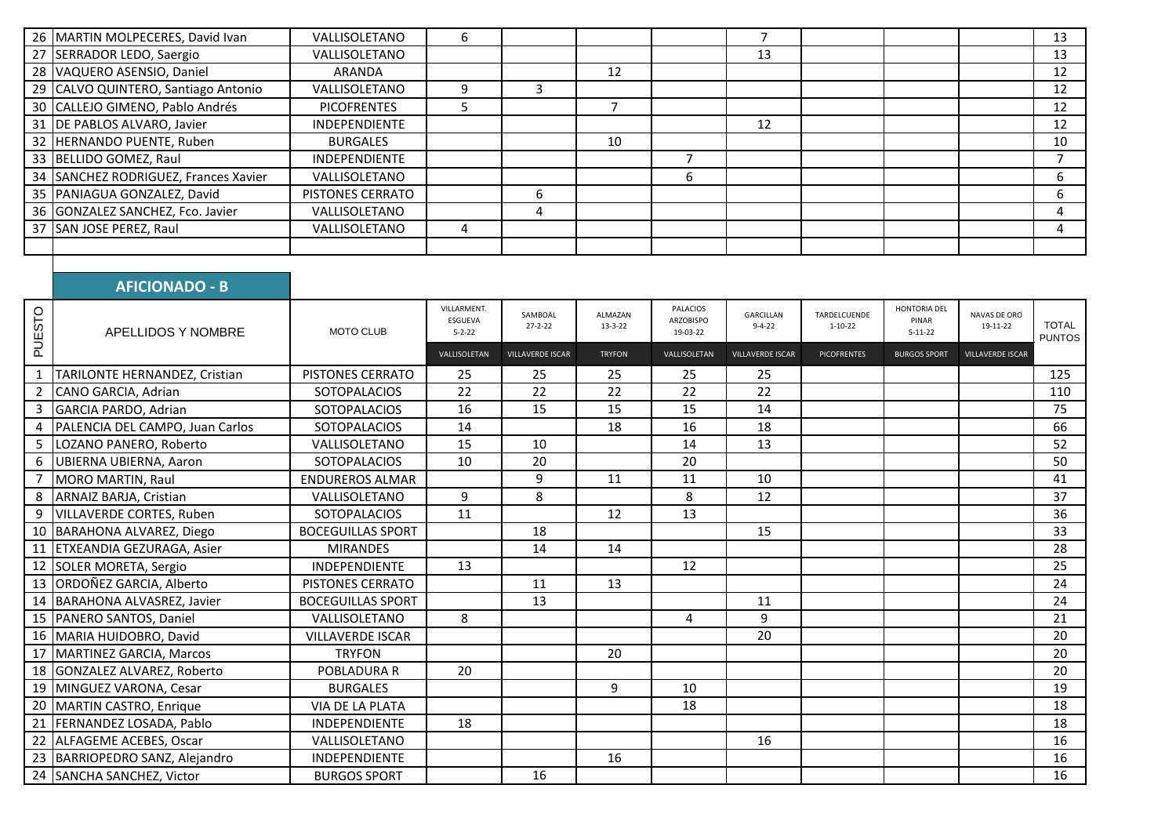| 26 MARTIN MOLPECERES, David Ivan     | VALLISOLETANO        |   |    |   |    |  | 13 |
|--------------------------------------|----------------------|---|----|---|----|--|----|
| 27 SERRADOR LEDO, Saergio            | VALLISOLETANO        |   |    |   | 13 |  | 13 |
| 28 VAQUERO ASENSIO, Daniel           | <b>ARANDA</b>        |   | 12 |   |    |  | 12 |
| 29 CALVO QUINTERO, Santiago Antonio  | VALLISOLETANO        |   |    |   |    |  | 12 |
| 30 CALLEJO GIMENO, Pablo Andrés      | <b>PICOFRENTES</b>   |   |    |   |    |  | 12 |
| 31 DE PABLOS ALVARO, Javier          | <b>INDEPENDIENTE</b> |   |    |   | 12 |  | 12 |
| 32 HERNANDO PUENTE, Ruben            | <b>BURGALES</b>      |   | 10 |   |    |  | 10 |
| 33 BELLIDO GOMEZ, Raul               | <b>INDEPENDIENTE</b> |   |    |   |    |  |    |
| 34 SANCHEZ RODRIGUEZ, Frances Xavier | VALLISOLETANO        |   |    | b |    |  |    |
| 35 PANIAGUA GONZALEZ, David          | PISTONES CERRATO     | b |    |   |    |  |    |
| 36 GONZALEZ SANCHEZ, Fco. Javier     | VALLISOLETANO        | 4 |    |   |    |  |    |
| 37 SAN JOSE PEREZ, Raul              | VALLISOLETANO        |   |    |   |    |  |    |
|                                      |                      |   |    |   |    |  |    |

## **AFICIONADO - B**

| PUESTO         | APELLIDOS Y NOMBRE               | <b>MOTO CLUB</b>         | <b>VILLARMENT.</b><br>ESGUEVA<br>$5 - 2 - 22$<br>VALLISOLETAN | SAMBOAL<br>$27 - 2 - 22$<br><b>VILLAVERDE ISCAR</b> | ALMAZAN<br>$13 - 3 - 22$<br><b>TRYFON</b> | <b>PALACIOS</b><br>ARZOBISPO<br>19-03-22<br>VALLISOLETAN | GARCILLAN<br>$9 - 4 - 22$<br>VILLAVERDE ISCAR | TARDELCUENDE<br>$1 - 10 - 22$<br><b>PICOFRENTES</b> | HONTORIA DEL<br>PINAR<br>$5 - 11 - 22$<br><b>BURGOS SPORT</b> | NAVAS DE ORO<br>19-11-22<br>VILLAVERDE ISCAR | <b>TOTAL</b><br><b>PUNTOS</b> |
|----------------|----------------------------------|--------------------------|---------------------------------------------------------------|-----------------------------------------------------|-------------------------------------------|----------------------------------------------------------|-----------------------------------------------|-----------------------------------------------------|---------------------------------------------------------------|----------------------------------------------|-------------------------------|
|                | TARILONTE HERNANDEZ, Cristian    | PISTONES CERRATO         | 25                                                            | 25                                                  | 25                                        | 25                                                       | 25                                            |                                                     |                                                               |                                              | 125                           |
| $\overline{2}$ | CANO GARCIA, Adrian              | <b>SOTOPALACIOS</b>      | 22                                                            | 22                                                  | 22                                        | 22                                                       | 22                                            |                                                     |                                                               |                                              | 110                           |
| 3              | GARCIA PARDO, Adrian             | <b>SOTOPALACIOS</b>      | 16                                                            | 15                                                  | 15                                        | 15                                                       | 14                                            |                                                     |                                                               |                                              | 75                            |
| 4              | PALENCIA DEL CAMPO, Juan Carlos  | <b>SOTOPALACIOS</b>      | 14                                                            |                                                     | 18                                        | 16                                                       | 18                                            |                                                     |                                                               |                                              | 66                            |
| 5              | LOZANO PANERO, Roberto           | VALLISOLETANO            | 15                                                            | 10                                                  |                                           | 14                                                       | 13                                            |                                                     |                                                               |                                              | 52                            |
| 6              | UBIERNA UBIERNA, Aaron           | <b>SOTOPALACIOS</b>      | 10                                                            | 20                                                  |                                           | 20                                                       |                                               |                                                     |                                                               |                                              | 50                            |
|                | MORO MARTIN, Raul                | <b>ENDUREROS ALMAR</b>   |                                                               | 9                                                   | 11                                        | 11                                                       | 10                                            |                                                     |                                                               |                                              | 41                            |
| 8              | ARNAIZ BARJA, Cristian           | VALLISOLETANO            | 9                                                             | 8                                                   |                                           | 8                                                        | 12                                            |                                                     |                                                               |                                              | 37                            |
| 9              | VILLAVERDE CORTES, Ruben         | <b>SOTOPALACIOS</b>      | 11                                                            |                                                     | 12                                        | 13                                                       |                                               |                                                     |                                                               |                                              | 36                            |
|                | 10 BARAHONA ALVAREZ, Diego       | <b>BOCEGUILLAS SPORT</b> |                                                               | 18                                                  |                                           |                                                          | 15                                            |                                                     |                                                               |                                              | 33                            |
| 11             | <b>ETXEANDIA GEZURAGA, Asier</b> | <b>MIRANDES</b>          |                                                               | 14                                                  | 14                                        |                                                          |                                               |                                                     |                                                               |                                              | 28                            |
|                | 12 SOLER MORETA, Sergio          | <b>INDEPENDIENTE</b>     | 13                                                            |                                                     |                                           | 12                                                       |                                               |                                                     |                                                               |                                              | 25                            |
|                | 13 ORDOÑEZ GARCIA, Alberto       | PISTONES CERRATO         |                                                               | 11                                                  | 13                                        |                                                          |                                               |                                                     |                                                               |                                              | 24                            |
|                | 14 BARAHONA ALVASREZ, Javier     | <b>BOCEGUILLAS SPORT</b> |                                                               | 13                                                  |                                           |                                                          | 11                                            |                                                     |                                                               |                                              | 24                            |
|                | 15   PANERO SANTOS, Daniel       | VALLISOLETANO            | 8                                                             |                                                     |                                           | 4                                                        | 9                                             |                                                     |                                                               |                                              | 21                            |
|                | 16 MARIA HUIDOBRO, David         | <b>VILLAVERDE ISCAR</b>  |                                                               |                                                     |                                           |                                                          | 20                                            |                                                     |                                                               |                                              | 20                            |
| 17             | MARTINEZ GARCIA, Marcos          | <b>TRYFON</b>            |                                                               |                                                     | 20                                        |                                                          |                                               |                                                     |                                                               |                                              | 20                            |
|                | 18 GONZALEZ ALVAREZ, Roberto     | <b>POBLADURA R</b>       | 20                                                            |                                                     |                                           |                                                          |                                               |                                                     |                                                               |                                              | 20                            |
|                | 19 MINGUEZ VARONA, Cesar         | <b>BURGALES</b>          |                                                               |                                                     | 9                                         | 10                                                       |                                               |                                                     |                                                               |                                              | 19                            |
| 20             | MARTIN CASTRO, Enrique           | <b>VIA DE LA PLATA</b>   |                                                               |                                                     |                                           | 18                                                       |                                               |                                                     |                                                               |                                              | 18                            |
| 21             | FERNANDEZ LOSADA, Pablo          | <b>INDEPENDIENTE</b>     | 18                                                            |                                                     |                                           |                                                          |                                               |                                                     |                                                               |                                              | 18                            |
|                | 22 ALFAGEME ACEBES, Oscar        | VALLISOLETANO            |                                                               |                                                     |                                           |                                                          | 16                                            |                                                     |                                                               |                                              | 16                            |
|                | 23 BARRIOPEDRO SANZ, Alejandro   | <b>INDEPENDIENTE</b>     |                                                               |                                                     | 16                                        |                                                          |                                               |                                                     |                                                               |                                              | 16                            |
|                | 24 SANCHA SANCHEZ, Victor        | <b>BURGOS SPORT</b>      |                                                               | 16                                                  |                                           |                                                          |                                               |                                                     |                                                               |                                              | 16                            |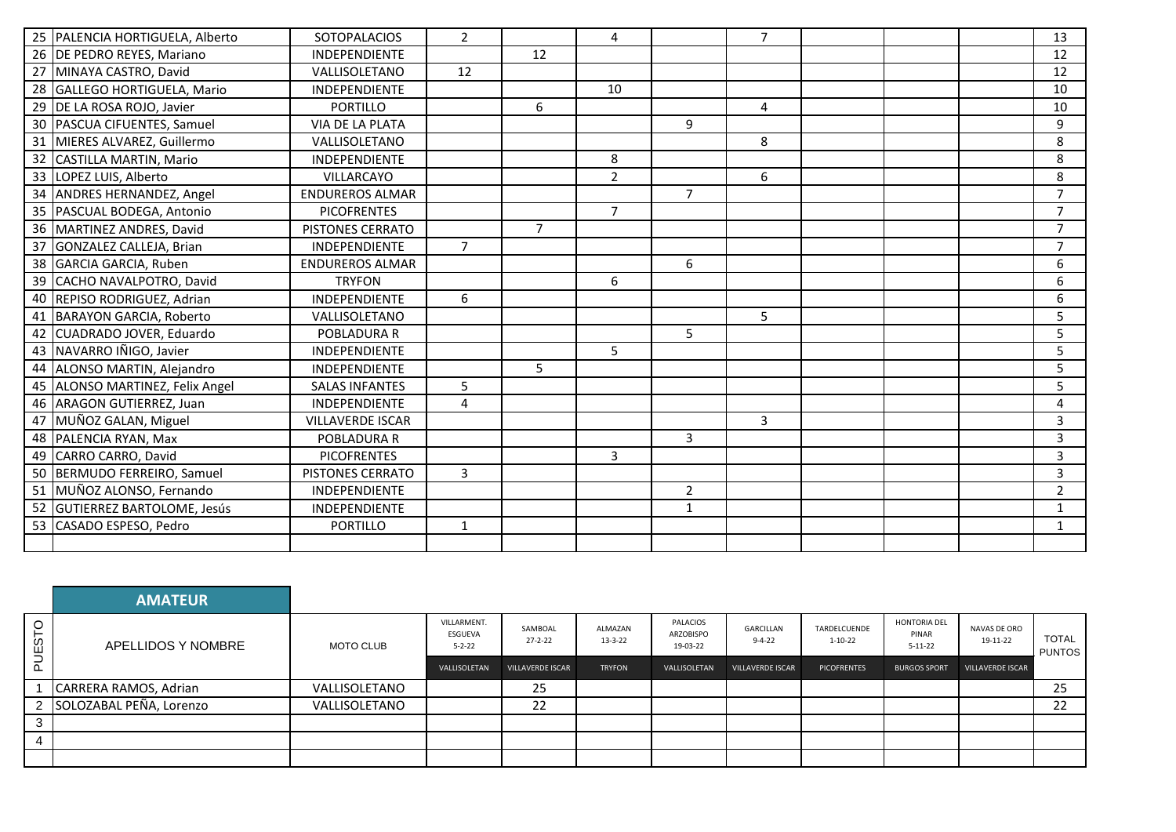|    | 25 PALENCIA HORTIGUELA, Alberto | <b>SOTOPALACIOS</b>     | $\overline{2}$ |                | 4              |                | 7 <sup>1</sup> |  | 13             |
|----|---------------------------------|-------------------------|----------------|----------------|----------------|----------------|----------------|--|----------------|
|    | 26 DE PEDRO REYES, Mariano      | INDEPENDIENTE           |                | 12             |                |                |                |  | 12             |
|    | 27 MINAYA CASTRO, David         | VALLISOLETANO           | 12             |                |                |                |                |  | 12             |
|    | 28 GALLEGO HORTIGUELA, Mario    | <b>INDEPENDIENTE</b>    |                |                | 10             |                |                |  | 10             |
|    | 29 DE LA ROSA ROJO, Javier      | <b>PORTILLO</b>         |                | 6              |                |                | $\overline{4}$ |  | 10             |
|    | 30   PASCUA CIFUENTES, Samuel   | <b>VIA DE LA PLATA</b>  |                |                |                | 9              |                |  | 9              |
| 31 | MIERES ALVAREZ, Guillermo       | VALLISOLETANO           |                |                |                |                | 8              |  | 8              |
|    | 32 CASTILLA MARTIN, Mario       | INDEPENDIENTE           |                |                | 8              |                |                |  | 8              |
|    | 33 LOPEZ LUIS, Alberto          | <b>VILLARCAYO</b>       |                |                | $\overline{2}$ |                | 6              |  | 8              |
|    | 34 ANDRES HERNANDEZ, Angel      | <b>ENDUREROS ALMAR</b>  |                |                |                | $\overline{7}$ |                |  | $\overline{7}$ |
|    | 35 PASCUAL BODEGA, Antonio      | <b>PICOFRENTES</b>      |                |                | $\overline{7}$ |                |                |  | 7              |
|    | 36 MARTINEZ ANDRES, David       | PISTONES CERRATO        |                | $\overline{7}$ |                |                |                |  | $\overline{ }$ |
|    | 37 GONZALEZ CALLEJA, Brian      | <b>INDEPENDIENTE</b>    | $\overline{7}$ |                |                |                |                |  |                |
|    | 38 GARCIA GARCIA, Ruben         | <b>ENDUREROS ALMAR</b>  |                |                |                | 6              |                |  | 6              |
|    | 39 CACHO NAVALPOTRO, David      | <b>TRYFON</b>           |                |                | 6              |                |                |  | 6              |
|    | 40 REPISO RODRIGUEZ, Adrian     | INDEPENDIENTE           | 6              |                |                |                |                |  | 6              |
| 41 | BARAYON GARCIA, Roberto         | VALLISOLETANO           |                |                |                |                | 5              |  | 5              |
|    | 42 CUADRADO JOVER, Eduardo      | POBLADURA R             |                |                |                | 5              |                |  | 5              |
|    | 43 NAVARRO IÑIGO, Javier        | <b>INDEPENDIENTE</b>    |                |                | 5              |                |                |  | 5              |
|    | 44 ALONSO MARTIN, Alejandro     | <b>INDEPENDIENTE</b>    |                | 5              |                |                |                |  | 5              |
|    | 45 ALONSO MARTINEZ, Felix Angel | <b>SALAS INFANTES</b>   | 5              |                |                |                |                |  | 5              |
|    | 46 ARAGON GUTIERREZ, Juan       | INDEPENDIENTE           | $\overline{4}$ |                |                |                |                |  | 4              |
|    | 47 MUÑOZ GALAN, Miguel          | <b>VILLAVERDE ISCAR</b> |                |                |                |                | 3              |  | 3              |
|    | 48 PALENCIA RYAN, Max           | POBLADURA R             |                |                |                | 3              |                |  | 3              |
|    | 49 CARRO CARRO, David           | <b>PICOFRENTES</b>      |                |                | 3              |                |                |  | 3              |
|    | 50 BERMUDO FERREIRO, Samuel     | PISTONES CERRATO        | 3              |                |                |                |                |  | 3              |
|    | 51 MUÑOZ ALONSO, Fernando       | <b>INDEPENDIENTE</b>    |                |                |                | $\overline{2}$ |                |  | $\overline{2}$ |
|    | 52 GUTIERREZ BARTOLOME, Jesús   | INDEPENDIENTE           |                |                |                | $\mathbf{1}$   |                |  | $\mathbf{1}$   |
|    | 53 CASADO ESPESO, Pedro         | <b>PORTILLO</b>         | $\mathbf{1}$   |                |                |                |                |  | $\mathbf{1}$   |
|    |                                 |                         |                |                |                |                |                |  |                |

|        | <b>AMATEUR</b>            |                  |                                        |                          |                          |                                   |                           |                               |                                        |                          |                               |
|--------|---------------------------|------------------|----------------------------------------|--------------------------|--------------------------|-----------------------------------|---------------------------|-------------------------------|----------------------------------------|--------------------------|-------------------------------|
| PUESTO | APELLIDOS Y NOMBRE        | <b>MOTO CLUB</b> | VILLARMENT.<br>ESGUEVA<br>$5 - 2 - 22$ | SAMBOAL<br>$27 - 2 - 22$ | ALMAZAN<br>$13 - 3 - 22$ | PALACIOS<br>ARZOBISPO<br>19-03-22 | GARCILLAN<br>$9 - 4 - 22$ | TARDELCUENDE<br>$1 - 10 - 22$ | HONTORIA DEL<br>PINAR<br>$5 - 11 - 22$ | NAVAS DE ORO<br>19-11-22 | <b>TOTAL</b><br><b>PUNTOS</b> |
|        |                           |                  | VALLISOLETAN                           | <b>VILLAVERDE ISCAR</b>  | <b>TRYFON</b>            | VALLISOLETAN                      | <b>VILLAVERDE ISCAR</b>   | <b>PICOFRENTES</b>            | <b>BURGOS SPORT</b>                    | <b>VILLAVERDE ISCAR</b>  |                               |
|        | CARRERA RAMOS, Adrian     | VALLISOLETANO    |                                        | 25                       |                          |                                   |                           |                               |                                        |                          | 25                            |
|        | 2 SOLOZABAL PEÑA, Lorenzo | VALLISOLETANO    |                                        | 22                       |                          |                                   |                           |                               |                                        |                          | 22                            |
| 3      |                           |                  |                                        |                          |                          |                                   |                           |                               |                                        |                          |                               |
| 4      |                           |                  |                                        |                          |                          |                                   |                           |                               |                                        |                          |                               |
|        |                           |                  |                                        |                          |                          |                                   |                           |                               |                                        |                          |                               |